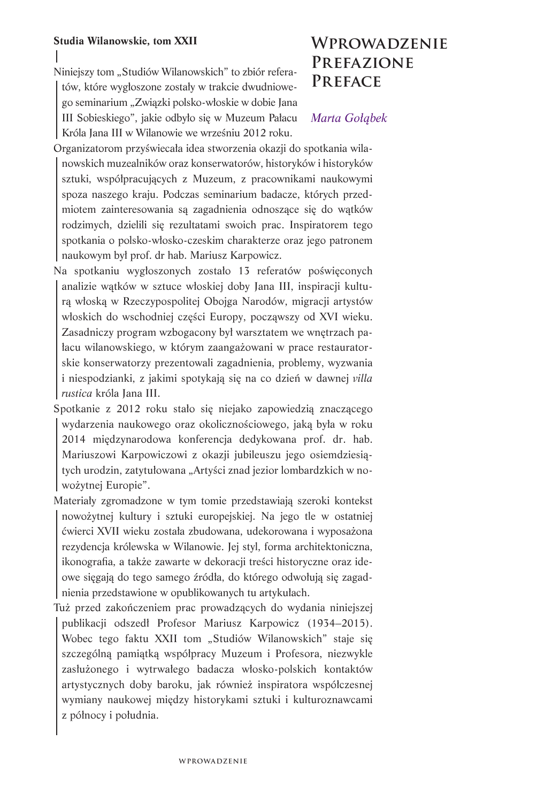## **Studia Wilanowskie, tom XXII**

Niniejszy tom "Studiów Wilanowskich" to zbiór referatów, które wygłoszone zostały w trakcie dwudniowego seminarium "Związki polsko-włoskie w dobie Jana III Sobieskiego", jakie odbyło się w Muzeum Pałacu Króla Jana III w Wilanowie we wrześniu 2012 roku.

# **Wprowadzenie Prefazione Preface**

## *Marta Gołąbek*

Organizatorom przyświecała idea stworzenia okazji do spotkania wilanowskich muzealników oraz konserwatorów, historyków i historyków sztuki, współpracujących z Muzeum, z pracownikami naukowymi spoza naszego kraju. Podczas seminarium badacze, których przedmiotem zainteresowania są zagadnienia odnoszące się do wątków rodzimych, dzielili się rezultatami swoich prac. Inspiratorem tego spotkania o polsko-włosko-czeskim charakterze oraz jego patronem naukowym był prof. dr hab. Mariusz Karpowicz.

- Na spotkaniu wygłoszonych zostało 13 referatów poświęconych analizie wątków w sztuce włoskiej doby Jana III, inspiracji kulturą włoską w Rzeczypospolitej Obojga Narodów, migracji artystów włoskich do wschodniej części Europy, począwszy od XVI wieku. Zasadniczy program wzbogacony był warsztatem we wnętrzach pałacu wilanowskiego, w którym zaangażowani w prace restauratorskie konserwatorzy prezentowali zagadnienia, problemy, wyzwania i niespodzianki, z jakimi spotykają się na co dzień w dawnej *villa rustica* króla Jana III.
- Spotkanie z 2012 roku stało się niejako zapowiedzią znaczącego wydarzenia naukowego oraz okolicznościowego, jaką była w roku 2014 międzynarodowa konferencja dedykowana prof. dr. hab. Mariuszowi Karpowiczowi z okazji jubileuszu jego osiemdziesiątych urodzin, zatytułowana "Artyści znad jezior lombardzkich w nowożytnej Europie".
- Materiały zgromadzone w tym tomie przedstawiają szeroki kontekst nowożytnej kultury i sztuki europejskiej. Na jego tle w ostatniej ćwierci XVII wieku została zbudowana, udekorowana i wyposażona rezydencja królewska w Wilanowie. Jej styl, forma architektoniczna, ikonografia, a także zawarte w dekoracji treści historyczne oraz ideowe sięgają do tego samego źródła, do którego odwołują się zagadnienia przedstawione w opublikowanych tu artykułach.
- Tuż przed zakończeniem prac prowadzących do wydania niniejszej publikacji odszedł Profesor Mariusz Karpowicz (1934–2015). Wobec tego faktu XXII tom "Studiów Wilanowskich" staje się szczególną pamiątką współpracy Muzeum i Profesora, niezwykle zasłużonego i wytrwałego badacza włosko-polskich kontaktów artystycznych doby baroku, jak również inspiratora współczesnej wymiany naukowej między historykami sztuki i kulturoznawcami z północy i południa.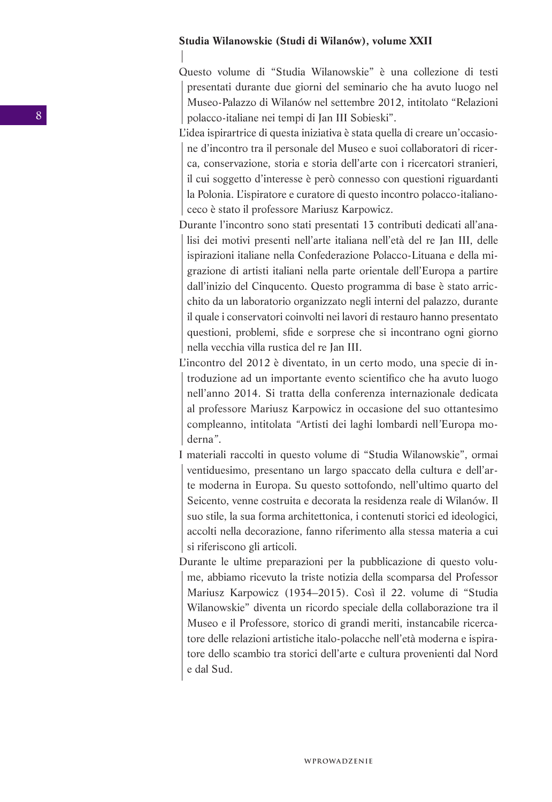### **Studia Wilanowskie (Studi di Wilanów), volume XXII**

Questo volume di "Studia Wilanowskie" è una collezione di testi presentati durante due giorni del seminario che ha avuto luogo nel Museo-Palazzo di Wilanów nel settembre 2012, intitolato "Relazioni polacco-italiane nei tempi di Jan III Sobieski".

L'idea ispirartrice di questa iniziativa è stata quella di creare un'occasione d'incontro tra il personale del Museo e suoi collaboratori di ricerca, conservazione, storia e storia dell'arte con i ricercatori stranieri, il cui soggetto d'interesse è però connesso con questioni riguardanti la Polonia. L'ispiratore e curatore di questo incontro polacco-italianoceco è stato il professore Mariusz Karpowicz.

Durante l'incontro sono stati presentati 13 contributi dedicati all'analisi dei motivi presenti nell'arte italiana nell'età del re Jan III, delle ispirazioni italiane nella Confederazione Polacco-Lituana e della migrazione di artisti italiani nella parte orientale dell'Europa a partire dall'inizio del Cinqucento. Questo programma di base è stato arricchito da un laboratorio organizzato negli interni del palazzo, durante il quale i conservatori coinvolti nei lavori di restauro hanno presentato questioni, problemi, sfide e sorprese che si incontrano ogni giorno nella vecchia villa rustica del re Jan III.

L'incontro del 2012 è diventato, in un certo modo, una specie di introduzione ad un importante evento scientifico che ha avuto luogo nell'anno 2014. Si tratta della conferenza internazionale dedicata al professore Mariusz Karpowicz in occasione del suo ottantesimo compleanno, intitolata *"*Artisti dei laghi lombardi nell*'*Europa moderna*"*.

I materiali raccolti in questo volume di "Studia Wilanowskie", ormai ventiduesimo, presentano un largo spaccato della cultura e dell'arte moderna in Europa. Su questo sottofondo, nell'ultimo quarto del Seicento, venne costruita e decorata la residenza reale di Wilanów. Il suo stile, la sua forma architettonica, i contenuti storici ed ideologici, accolti nella decorazione, fanno riferimento alla stessa materia a cui si riferiscono gli articoli.

Durante le ultime preparazioni per la pubblicazione di questo volume, abbiamo ricevuto la triste notizia della scomparsa del Professor Mariusz Karpowicz (1934–2015). Così il 22. volume di "Studia Wilanowskie" diventa un ricordo speciale della collaborazione tra il Museo e il Professore, storico di grandi meriti, instancabile ricercatore delle relazioni artistiche italo-polacche nell'età moderna e ispiratore dello scambio tra storici dell'arte e cultura provenienti dal Nord e dal Sud.